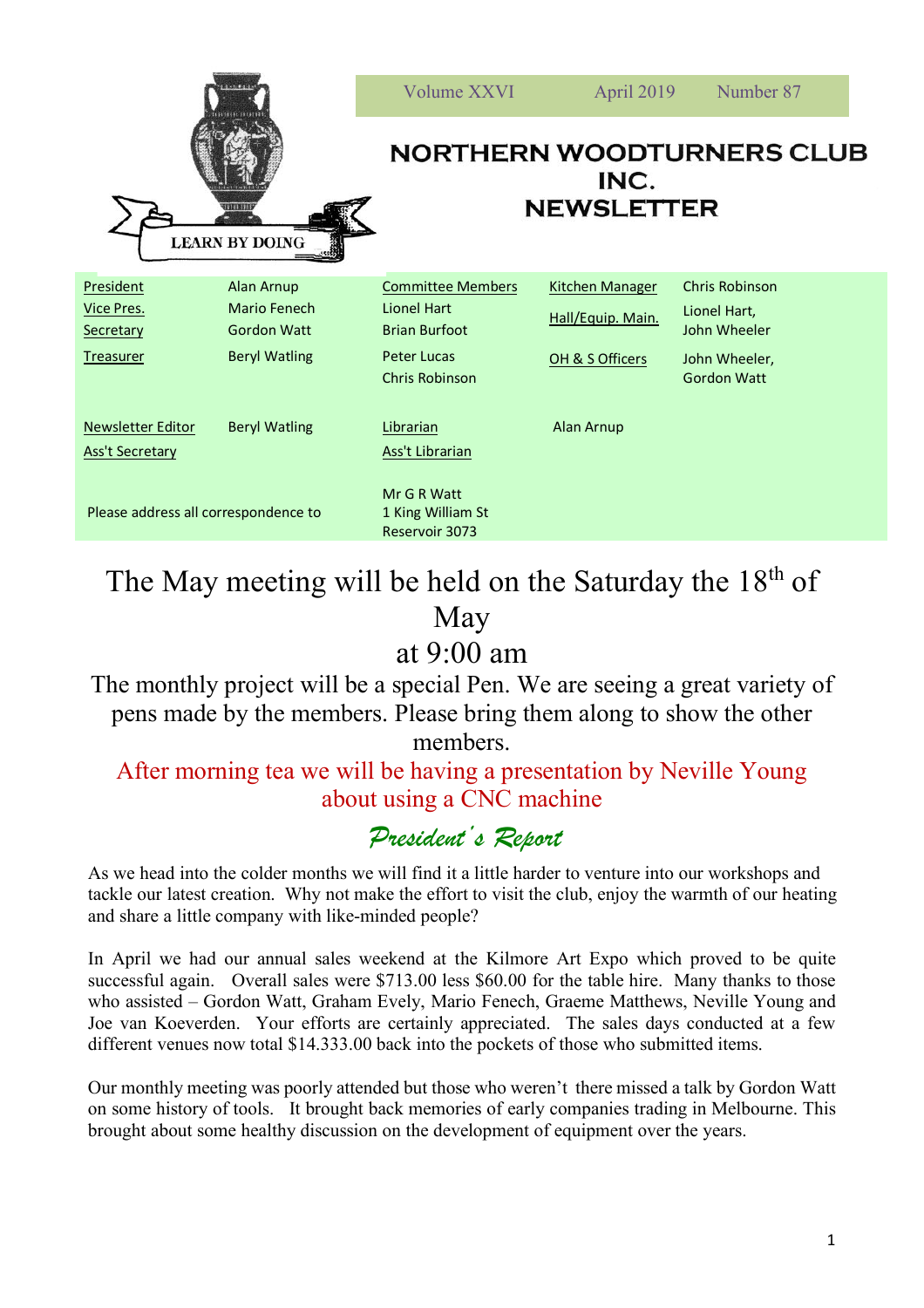|                                                    |                                                         | Volume XXVI                                                     | April 2019                                  | Number 87                                      |
|----------------------------------------------------|---------------------------------------------------------|-----------------------------------------------------------------|---------------------------------------------|------------------------------------------------|
|                                                    | 11111111<br><b>LEARN BY DOING</b>                       | <b>NORTHERN WOODTURNERS CLUB</b><br>INC.<br><b>NEWSLETTER</b>   |                                             |                                                |
| <b>President</b><br><b>Vice Pres.</b><br>Secretary | <b>Alan Arnup</b><br>Mario Fenech<br><b>Gordon Watt</b> | <b>Committee Members</b><br>Lionel Hart<br><b>Brian Burfoot</b> | <b>Kitchen Manager</b><br>Hall/Equip. Main. | Chris Robinson<br>Lionel Hart,<br>John Wheeler |
| Treasurer                                          | <b>Beryl Watling</b>                                    | <b>Peter Lucas</b><br>Chris Robinson                            | OH & S Officers                             | John Wheeler,<br><b>Gordon Watt</b>            |
| <b>Newsletter Editor</b><br><b>Ass't Secretary</b> | <b>Beryl Watling</b>                                    | Librarian<br>Ass't Librarian                                    | Alan Arnup                                  |                                                |
| Please address all correspondence to               |                                                         | Mr G R Watt<br>1 King William St<br>Reservoir 3073              |                                             |                                                |

# The May meeting will be held on the Saturday the  $18<sup>th</sup>$  of May

# at 9:00 am

The monthly project will be a special Pen. We are seeing a great variety of pens made by the members. Please bring them along to show the other members.

### After morning tea we will be having a presentation by Neville Young about using a CNC machine

### *President's Report*

As we head into the colder months we will find it a little harder to venture into our workshops and tackle our latest creation. Why not make the effort to visit the club, enjoy the warmth of our heating and share a little company with like-minded people?

In April we had our annual sales weekend at the Kilmore Art Expo which proved to be quite successful again. Overall sales were \$713.00 less \$60.00 for the table hire. Many thanks to those who assisted – Gordon Watt, Graham Evely, Mario Fenech, Graeme Matthews, Neville Young and Joe van Koeverden. Your efforts are certainly appreciated. The sales days conducted at a few different venues now total \$14.333.00 back into the pockets of those who submitted items.

Our monthly meeting was poorly attended but those who weren't there missed a talk by Gordon Watt on some history of tools. It brought back memories of early companies trading in Melbourne. This brought about some healthy discussion on the development of equipment over the years.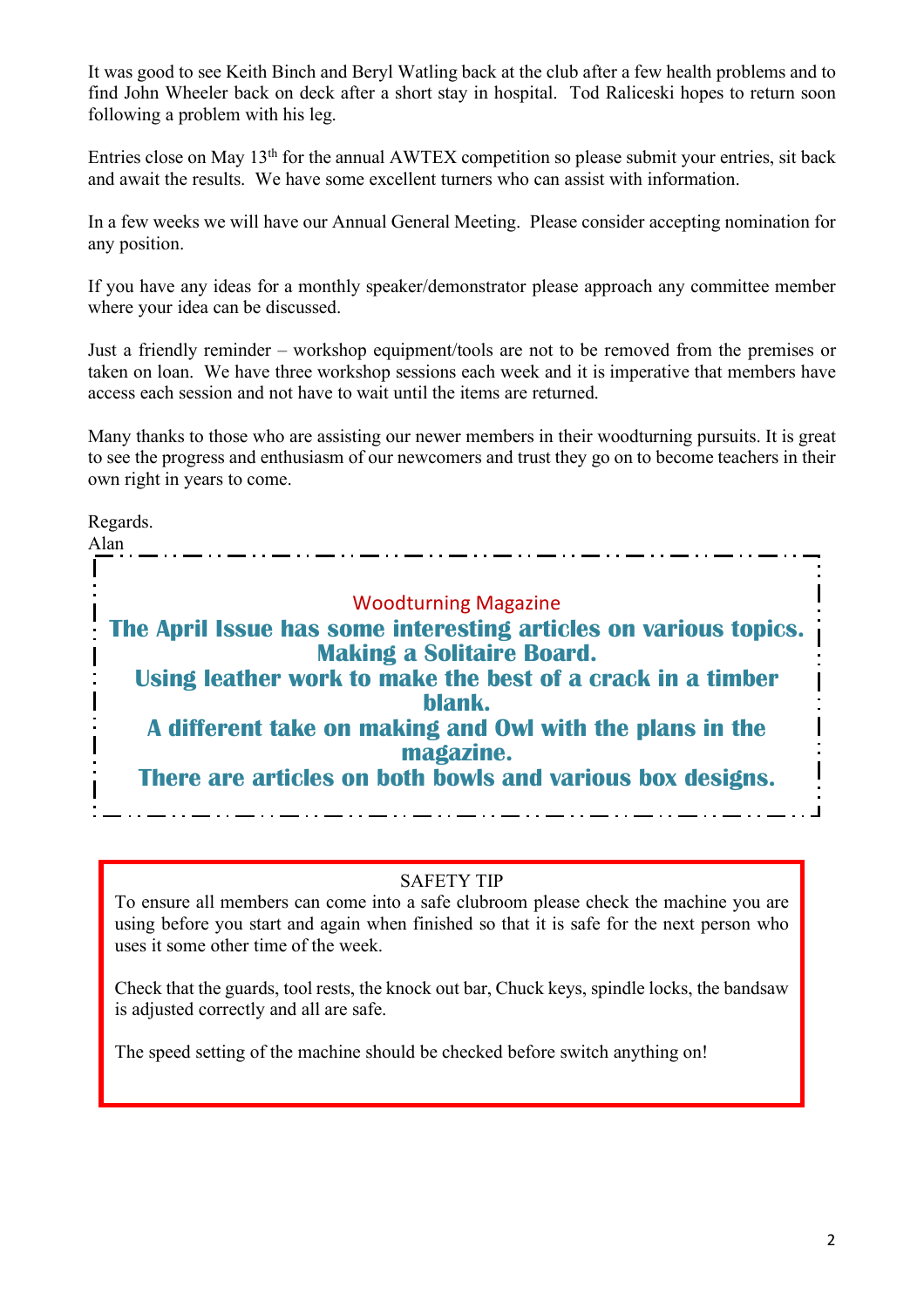It was good to see Keith Binch and Beryl Watling back at the club after a few health problems and to find John Wheeler back on deck after a short stay in hospital. Tod Raliceski hopes to return soon following a problem with his leg.

Entries close on May 13th for the annual AWTEX competition so please submit your entries, sit back and await the results. We have some excellent turners who can assist with information.

In a few weeks we will have our Annual General Meeting. Please consider accepting nomination for any position.

If you have any ideas for a monthly speaker/demonstrator please approach any committee member where your idea can be discussed.

Just a friendly reminder – workshop equipment/tools are not to be removed from the premises or taken on loan. We have three workshop sessions each week and it is imperative that members have access each session and not have to wait until the items are returned.

Many thanks to those who are assisting our newer members in their woodturning pursuits. It is great to see the progress and enthusiasm of our newcomers and trust they go on to become teachers in their own right in years to come.

Regards.

Alan Woodturning Magazine **The April Issue has some interesting articles on various topics. Making a Solitaire Board. Using leather work to make the best of a crack in a timber blank. A different take on making and Owl with the plans in the magazine. There are articles on both bowls and various box designs.**

#### SAFETY TIP

To ensure all members can come into a safe clubroom please check the machine you are using before you start and again when finished so that it is safe for the next person who uses it some other time of the week.

Check that the guards, tool rests, the knock out bar, Chuck keys, spindle locks, the bandsaw is adjusted correctly and all are safe.

The speed setting of the machine should be checked before switch anything on!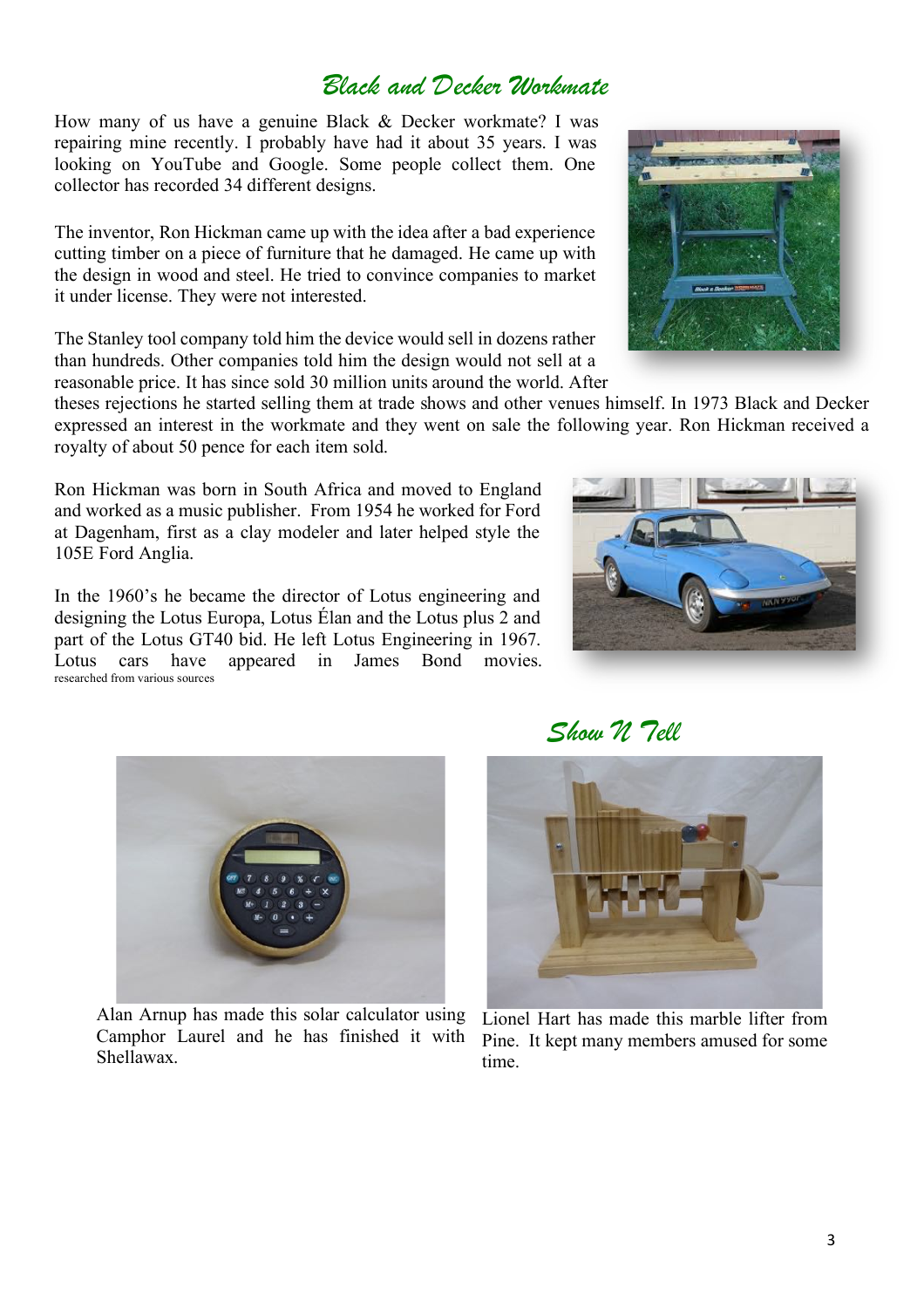### *Black and Decker Workmate*

How many of us have a genuine Black & Decker workmate? I was repairing mine recently. I probably have had it about 35 years. I was looking on YouTube and Google. Some people collect them. One collector has recorded 34 different designs.

The inventor, Ron Hickman came up with the idea after a bad experience cutting timber on a piece of furniture that he damaged. He came up with the design in wood and steel. He tried to convince companies to market it under license. They were not interested.

The Stanley tool company told him the device would sell in dozens rather than hundreds. Other companies told him the design would not sell at a reasonable price. It has since sold 30 million units around the world. After

theses rejections he started selling them at trade shows and other venues himself. In 1973 Black and Decker expressed an interest in the workmate and they went on sale the following year. Ron Hickman received a royalty of about 50 pence for each item sold.

Ron Hickman was born in South Africa and moved to England and worked as a music publisher. From 1954 he worked for Ford at Dagenham, first as a clay modeler and later helped style the 105E Ford Anglia.

In the 1960's he became the director of Lotus engineering and designing the Lotus Europa, Lotus Élan and the Lotus plus 2 and part of the Lotus GT40 bid. He left Lotus Engineering in 1967. Lotus cars have appeared in James Bond movies.







Alan Arnup has made this solar calculator using Camphor Laurel and he has finished it with Shellawax.

 *Show N Tell*



Lionel Hart has made this marble lifter from Pine. It kept many members amused for some time.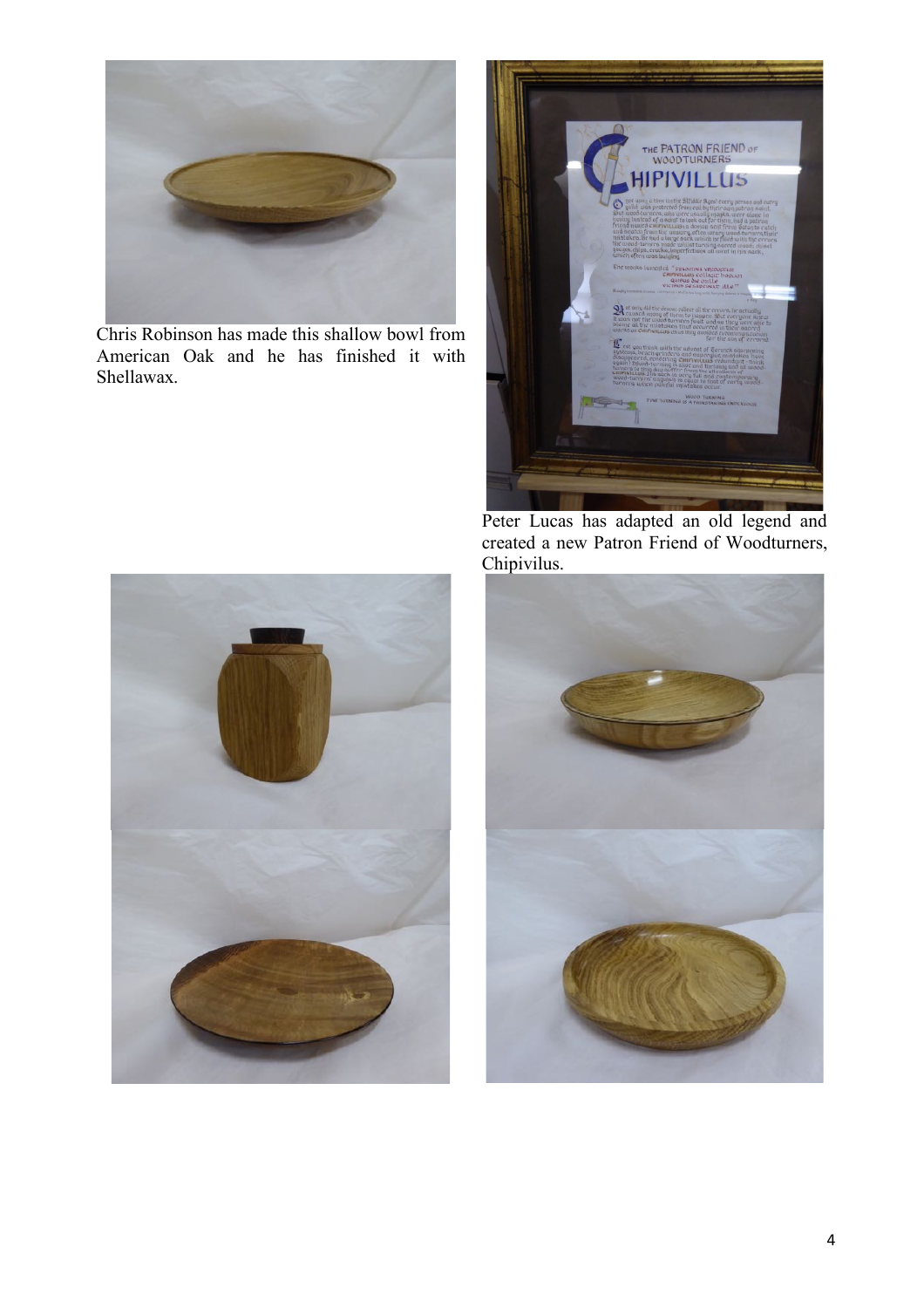

Chris Robinson has made this shallow bowl from American Oak and he has finished it with Shellawax.



Peter Lucas has adapted an old legend and created a new Patron Friend of Woodturners, Chipivilus.



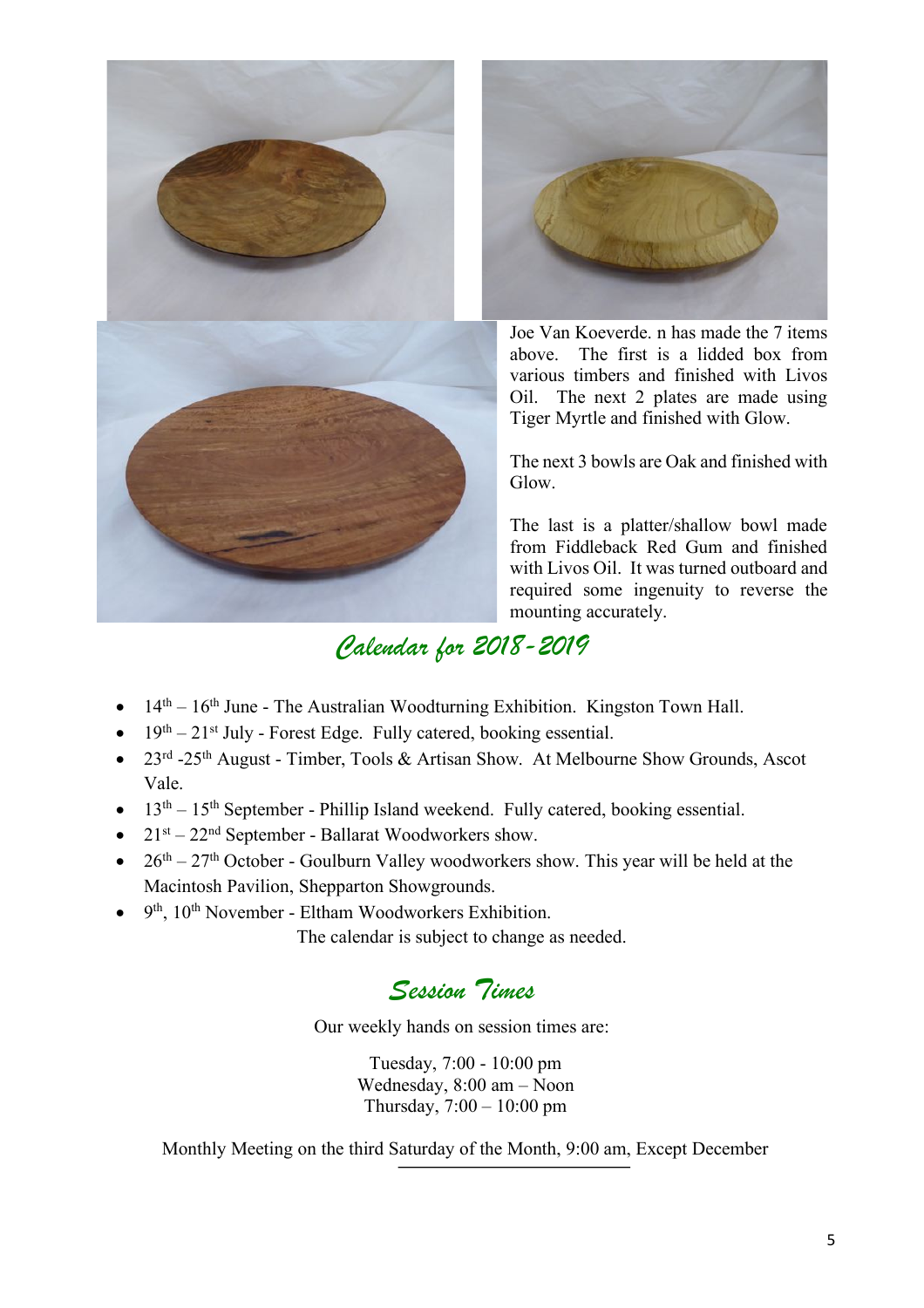



Joe Van Koeverde. n has made the 7 items above. The first is a lidded box from various timbers and finished with Livos Oil. The next 2 plates are made using Tiger Myrtle and finished with Glow.

The next 3 bowls are Oak and finished with Glow.

The last is a platter/shallow bowl made from Fiddleback Red Gum and finished with Livos Oil. It was turned outboard and required some ingenuity to reverse the mounting accurately.

# *Calendar for 2018-2019*

- $14<sup>th</sup> 16<sup>th</sup>$  June The Australian Woodturning Exhibition. Kingston Town Hall.
- $19<sup>th</sup> 21<sup>st</sup>$  July Forest Edge. Fully catered, booking essential.
- 23<sup>rd</sup> -25<sup>th</sup> August Timber, Tools & Artisan Show. At Melbourne Show Grounds, Ascot Vale.
- $13<sup>th</sup> 15<sup>th</sup>$  September Phillip Island weekend. Fully catered, booking essential.
- $21<sup>st</sup> 22<sup>nd</sup>$  September Ballarat Woodworkers show.
- $26<sup>th</sup> 27<sup>th</sup>$  October Goulburn Valley woodworkers show. This year will be held at the Macintosh Pavilion, Shepparton Showgrounds.
- 9<sup>th</sup>, 10<sup>th</sup> November Eltham Woodworkers Exhibition.

The calendar is subject to change as needed.

### *Session Times*

Our weekly hands on session times are:

Tuesday, 7:00 - 10:00 pm Wednesday, 8:00 am – Noon Thursday, 7:00 – 10:00 pm

Monthly Meeting on the third Saturday of the Month, 9:00 am, Except December